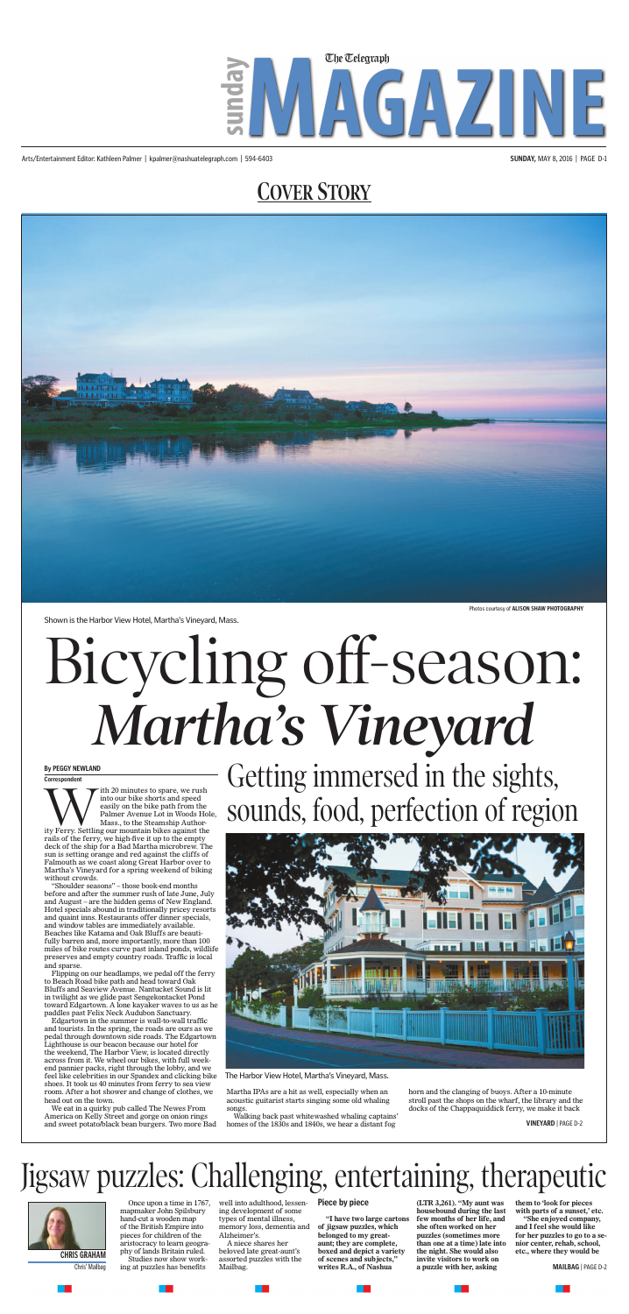## **COVER STORY**

Arts/Entertainment Editor: Kathleen Palmer | kpalmer@nashuatelegraph.com | 594-6403 **SUNDAY,** MAY 8, 2016 | PAGE D-1





Shown is the Harbor View Hotel, Martha's Vineyard, Mass.

Mass., to the Steamship Author-

ity Ferry. Settling our mountain bikes against the rails of the ferry, we high-five it up to the empty deck of the ship for a Bad Martha microbrew. The sun is setting orange and red against the cliffs of Falmouth as we coast along Great Harbor over to Martha's Vineyard for a spring weekend of biking

without crowds.

"Shoulder seasons" – those book-end months before and after the summer rush of late June, July and August – are the hidden gems of New England.

and quaint inns. Restaurants offer dinner specials, and window tables are immediately available. Beaches like Katama and Oak Bluffs are beautifully barren and, more importantly, more than 100

preserves and empty country roads. Traffic is local

and sparse.

## With 20 minutes to spare, we rush<br>into our bike shorts and speed<br>easily on the bike path from the<br>Palmer Avenue Lot in Woods Ho<br>Mass., to the Steamship Author-<br>ity Ferry. Settling our mountain bikes against the<br>rails of th into our bike shorts and speed easily on the bike path from the Palmer Avenue Lot in Woods Hole, **By PEGGY NEWLAND Correspondent** *Martha's Vineyard* Getting immersed in the sights, sounds, food, perfection of region

to Beach Road bike path and head toward Oak Bluffs and Seaview Avenue. Nantucket Sound is lit in twilight as we glide past Sengekontacket Pond

paddles past Felix Neck Audubon Sanctuary. Edgartown in the summer is wall-to-wall traffic and tourists. In the spring, the roads are ours as we

> Chris' Mailbag ing at puzzles has benefits Mailbag. **Mailbag and Martics R.A., of Nashua a puzzle with her, asking MAILBAG** | PAGE D-2 **"I have two large cartons of jigsaw puzzles, which belonged to my greataunt; they are complete, boxed and depict a variety of scenes and subjects," writes R.A., of Nashua**

> > a ka

Lighthouse is our beacon because our hotel for the weekend, The Harbor View, is located directly across from it. We wheel our bikes, with full weekend pannier packs, right through the lobby, and we

> **CHRIS GRAHAM** phy of lands Britain ruled. beloved late great-aunt's boxed and depict a variety the night. She would also etc., where they would be **(LTR 3,261). "My aunt was housebound during the last few months of her life, and she often worked on her puzzles (sometimes more than one at a time) late into the night. She would also invite visitors to work on a puzzle with her, asking**

shoes. It took us 40 minutes from ferry to sea view room. After a hot shower and change of clothes, we

head out on the town.

We eat in a quirky pub called The Newes From America on Kelly Street and gorge on onion rings and sweet potato/black bean burgers. Two more Bad Martha IPAs are a hit as well, especially when an acoustic guitarist starts singing some old whaling songs.

Walking back past whitewashed whaling captains' homes of the 1830s and 1840s, we hear a distant fog



The Harbor View Hotel, Martha's Vineyard, Mass.

horn and the clanging of buoys. After a 10-minute stroll past the shops on the wharf, the library and the docks of the Chappaquiddick ferry, we make it back

# Jigsaw puzzles: Challenging, entertaining, therapeutic



Once upon a time in 1767, mapmaker John Spilsbury hand-cut a wooden map of the British Empire into pieces for children of the aristocracy to learn geogra-Studies now show workwell into adulthood, lessening development of some types of mental illness, memory loss, dementia and Alzheimer's.

A niece shares her beloved late great-aunt's assorted puzzles with the Mailbag.

#### **Piece by piece**

**them to 'look for pieces with parts of a sunset,' etc.**

**"She enjoyed company, and I feel she would like for her puzzles to go to a senior center, rehab, school,** 

**VINEYARD** | PAGE D-2